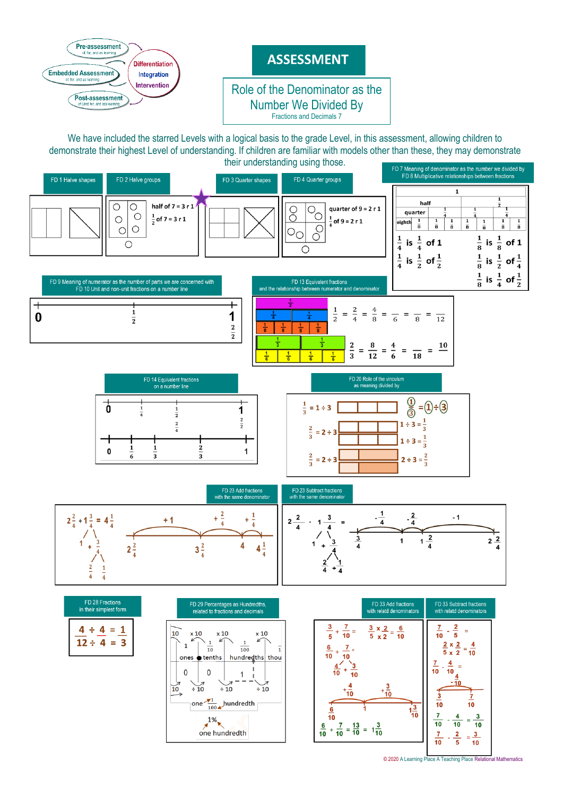

© 2020 [A Learning Place A Teaching Place Relational Mathematics](http://www.alearningplace.com.au/)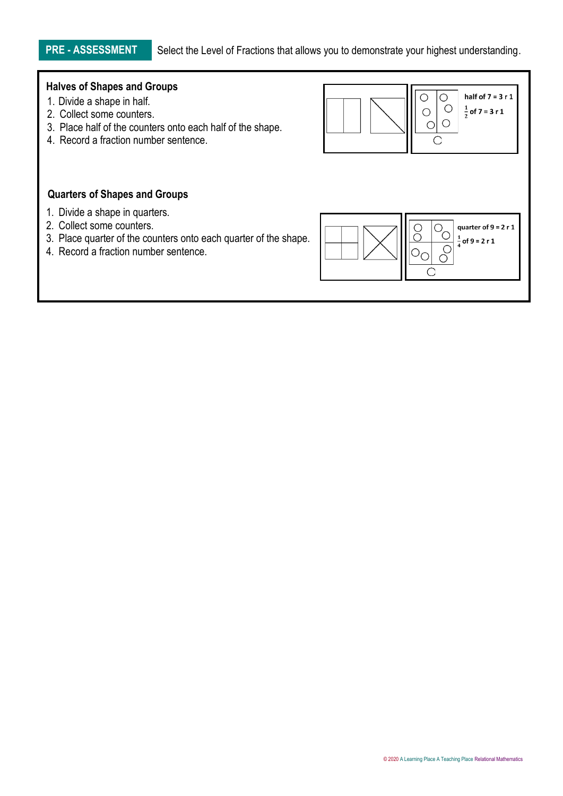**PRE - ASSESSMENT** Select the Level of Fractions that allows you to demonstrate your highest understanding.

# **Halves of Shapes and Groups**

- 1. Divide a shape in half.
- 2. Collect some counters.

1. Divide a shape in quarters. 2. Collect some counters.

**Quarters of Shapes and Groups**

- 3. Place half of the counters onto each half of the shape.
- 4. Record a fraction number sentence.

4. Record a fraction number sentence.